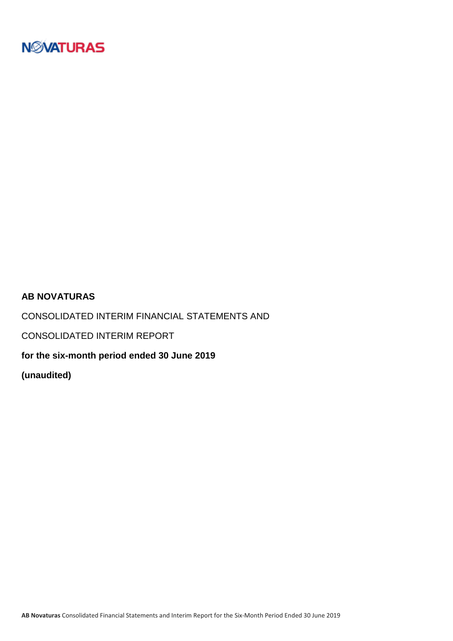

### **AB NOVATURAS**

CONSOLIDATED INTERIM FINANCIAL STATEMENTS AND

CONSOLIDATED INTERIM REPORT

**for the six-month period ended 30 June 2019**

**(unaudited)**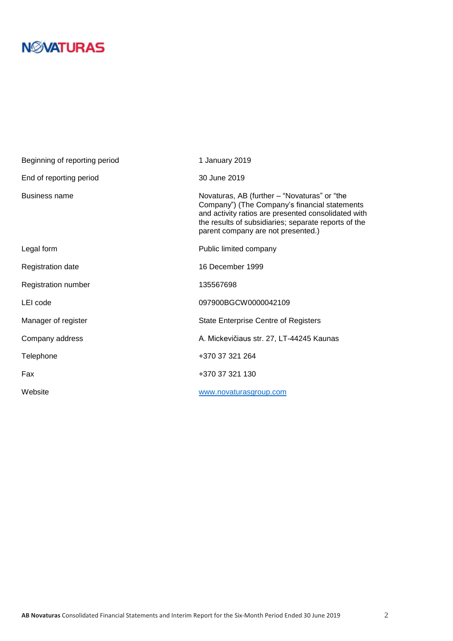# **N***N***XATURAS**

| Beginning of reporting period | 1 January 2019                                                                                                                                                                                                                                     |
|-------------------------------|----------------------------------------------------------------------------------------------------------------------------------------------------------------------------------------------------------------------------------------------------|
| End of reporting period       | 30 June 2019                                                                                                                                                                                                                                       |
| Business name                 | Novaturas, AB (further - "Novaturas" or "the<br>Company") (The Company's financial statements<br>and activity ratios are presented consolidated with<br>the results of subsidiaries; separate reports of the<br>parent company are not presented.) |
| Legal form                    | Public limited company                                                                                                                                                                                                                             |
| <b>Registration date</b>      | 16 December 1999                                                                                                                                                                                                                                   |
| Registration number           | 135567698                                                                                                                                                                                                                                          |
| LEI code                      | 097900BGCW0000042109                                                                                                                                                                                                                               |
| Manager of register           | <b>State Enterprise Centre of Registers</b>                                                                                                                                                                                                        |
| Company address               | A. Mickevičiaus str. 27, LT-44245 Kaunas                                                                                                                                                                                                           |
| Telephone                     | +370 37 321 264                                                                                                                                                                                                                                    |
| Fax                           | +370 37 321 130                                                                                                                                                                                                                                    |
| Website                       | www.novaturasgroup.com                                                                                                                                                                                                                             |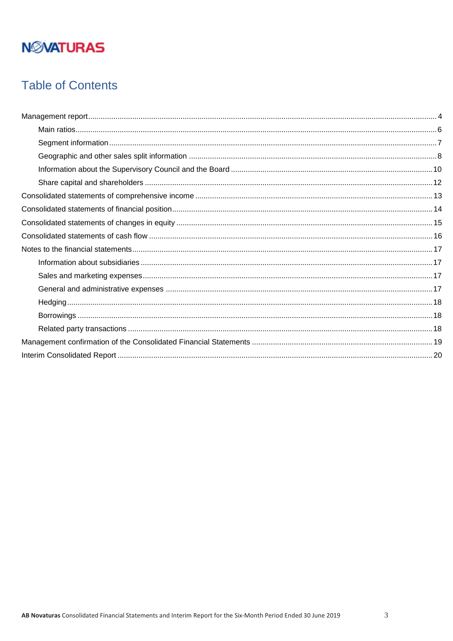# **NMATURAS**

## **Table of Contents**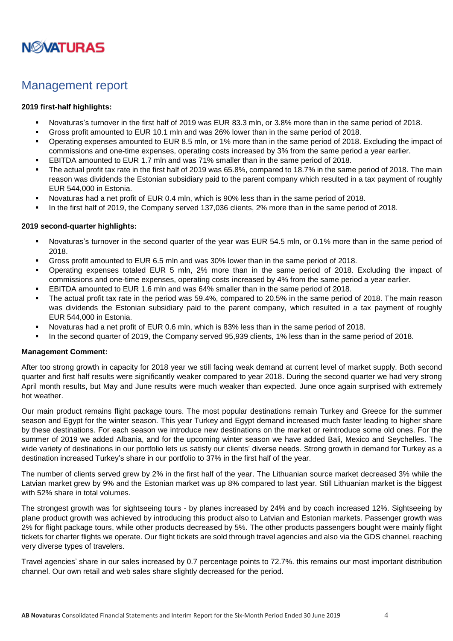

## <span id="page-3-0"></span>Management report

#### **2019 first-half highlights:**

- Novaturas's turnover in the first half of 2019 was EUR 83.3 mln, or 3.8% more than in the same period of 2018.
- Gross profit amounted to EUR 10.1 mln and was 26% lower than in the same period of 2018.
- Operating expenses amounted to EUR 8.5 mln, or 1% more than in the same period of 2018. Excluding the impact of commissions and one-time expenses, operating costs increased by 3% from the same period a year earlier.
- EBITDA amounted to EUR 1.7 mln and was 71% smaller than in the same period of 2018.
- The actual profit tax rate in the first half of 2019 was 65.8%, compared to 18.7% in the same period of 2018. The main reason was dividends the Estonian subsidiary paid to the parent company which resulted in a tax payment of roughly EUR 544,000 in Estonia.
- Novaturas had a net profit of EUR 0.4 mln, which is 90% less than in the same period of 2018.
- In the first half of 2019, the Company served 137,036 clients, 2% more than in the same period of 2018.

#### **2019 second-quarter highlights:**

- Novaturas's turnover in the second quarter of the year was EUR 54.5 mln, or 0.1% more than in the same period of 2018.
- Gross profit amounted to EUR 6.5 mln and was 30% lower than in the same period of 2018.
- Operating expenses totaled EUR 5 mln, 2% more than in the same period of 2018. Excluding the impact of commissions and one-time expenses, operating costs increased by 4% from the same period a year earlier.
- EBITDA amounted to EUR 1.6 mln and was 64% smaller than in the same period of 2018.
- The actual profit tax rate in the period was 59.4%, compared to 20.5% in the same period of 2018. The main reason was dividends the Estonian subsidiary paid to the parent company, which resulted in a tax payment of roughly EUR 544,000 in Estonia.
- Novaturas had a net profit of EUR 0.6 mln, which is 83% less than in the same period of 2018.
- In the second quarter of 2019, the Company served 95,939 clients, 1% less than in the same period of 2018.

#### **Management Comment:**

After too strong growth in capacity for 2018 year we still facing weak demand at current level of market supply. Both second quarter and first half results were significantly weaker compared to year 2018. During the second quarter we had very strong April month results, but May and June results were much weaker than expected. June once again surprised with extremely hot weather.

Our main product remains flight package tours. The most popular destinations remain Turkey and Greece for the summer season and Egypt for the winter season. This year Turkey and Egypt demand increased much faster leading to higher share by these destinations. For each season we introduce new destinations on the market or reintroduce some old ones. For the summer of 2019 we added Albania, and for the upcoming winter season we have added Bali, Mexico and Seychelles. The wide variety of destinations in our portfolio lets us satisfy our clients' diverse needs. Strong growth in demand for Turkey as a destination increased Turkey's share in our portfolio to 37% in the first half of the year.

The number of clients served grew by 2% in the first half of the year. The Lithuanian source market decreased 3% while the Latvian market grew by 9% and the Estonian market was up 8% compared to last year. Still Lithuanian market is the biggest with 52% share in total volumes.

The strongest growth was for sightseeing tours - by planes increased by 24% and by coach increased 12%. Sightseeing by plane product growth was achieved by introducing this product also to Latvian and Estonian markets. Passenger growth was 2% for flight package tours, while other products decreased by 5%. The other products passengers bought were mainly flight tickets for charter flights we operate. Our flight tickets are sold through travel agencies and also via the GDS channel, reaching very diverse types of travelers.

Travel agencies' share in our sales increased by 0.7 percentage points to 72.7%. this remains our most important distribution channel. Our own retail and web sales share slightly decreased for the period.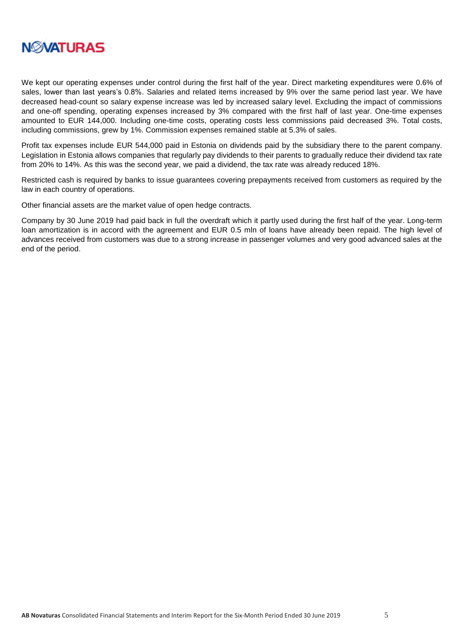

We kept our operating expenses under control during the first half of the year. Direct marketing expenditures were 0.6% of sales, lower than last years's 0.8%. Salaries and related items increased by 9% over the same period last year. We have decreased head-count so salary expense increase was led by increased salary level. Excluding the impact of commissions and one-off spending, operating expenses increased by 3% compared with the first half of last year. One-time expenses amounted to EUR 144,000. Including one-time costs, operating costs less commissions paid decreased 3%. Total costs, including commissions, grew by 1%. Commission expenses remained stable at 5.3% of sales.

Profit tax expenses include EUR 544,000 paid in Estonia on dividends paid by the subsidiary there to the parent company. Legislation in Estonia allows companies that regularly pay dividends to their parents to gradually reduce their dividend tax rate from 20% to 14%. As this was the second year, we paid a dividend, the tax rate was already reduced 18%.

Restricted cash is required by banks to issue guarantees covering prepayments received from customers as required by the law in each country of operations.

Other financial assets are the market value of open hedge contracts.

Company by 30 June 2019 had paid back in full the overdraft which it partly used during the first half of the year. Long-term loan amortization is in accord with the agreement and EUR 0.5 mln of loans have already been repaid. The high level of advances received from customers was due to a strong increase in passenger volumes and very good advanced sales at the end of the period.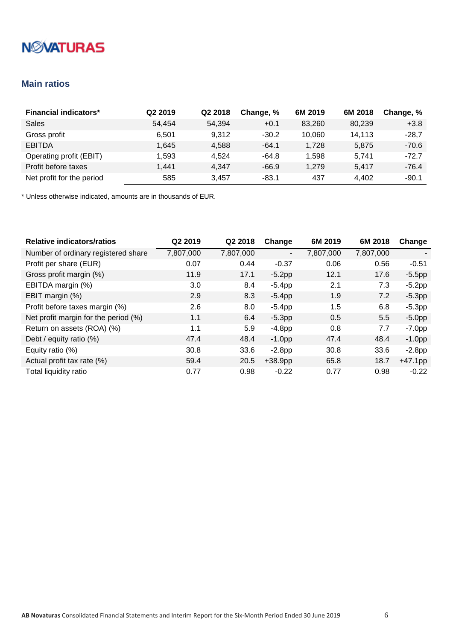# **NMATURAS**

### <span id="page-5-0"></span>**Main ratios**

| <b>Financial indicators*</b> | Q <sub>2</sub> 2019 | Q <sub>2</sub> 2018 | Change, % | 6M 2019 | 6M 2018 | Change, % |
|------------------------------|---------------------|---------------------|-----------|---------|---------|-----------|
| Sales                        | 54,454              | 54,394              | $+0.1$    | 83,260  | 80,239  | $+3.8$    |
| Gross profit                 | 6.501               | 9.312               | $-30.2$   | 10.060  | 14,113  | $-28,7$   |
| <b>EBITDA</b>                | 1.645               | 4.588               | $-64.1$   | 1.728   | 5,875   | $-70.6$   |
| Operating profit (EBIT)      | 1,593               | 4.524               | -64.8     | 1,598   | 5.741   | $-72.7$   |
| Profit before taxes          | 1.441               | 4.347               | $-66.9$   | 1.279   | 5.417   | $-76.4$   |
| Net profit for the period    | 585                 | 3.457               | $-83.1$   | 437     | 4,402   | $-90.1$   |

| <b>Relative indicators/ratios</b>    | Q2 2019   | Q2 2018   | Change                   | 6M 2019   | 6M 2018       | Change     |
|--------------------------------------|-----------|-----------|--------------------------|-----------|---------------|------------|
| Number of ordinary registered share  | 7,807,000 | 7,807,000 | $\overline{\phantom{a}}$ | 7,807,000 | 7,807,000     |            |
| Profit per share (EUR)               | 0.07      | 0.44      | $-0.37$                  | 0.06      | 0.56          | $-0.51$    |
| Gross profit margin (%)              | 11.9      | 17.1      | $-5.2pp$                 | 12.1      | 17.6          | $-5.5$ pp  |
| EBITDA margin (%)                    | 3.0       | 8.4       | $-5.4pp$                 | 2.1       | 7.3           | $-5.2$ pp  |
| EBIT margin (%)                      | 2.9       | 8.3       | $-5.4pp$                 | 1.9       | 7.2           | $-5.3pp$   |
| Profit before taxes margin (%)       | 2.6       | 8.0       | $-5.4pp$                 | 1.5       | 6.8           | $-5.3pp$   |
| Net profit margin for the period (%) | 1.1       | 6.4       | $-5.3pp$                 | 0.5       | $5.5^{\circ}$ | $-5.0pp$   |
| Return on assets (ROA) (%)           | 1.1       | 5.9       | $-4.8pp$                 | 0.8       | 7.7           | $-7.0pp$   |
| Debt / equity ratio (%)              | 47.4      | 48.4      | $-1.0$ pp                | 47.4      | 48.4          | $-1.0$ pp  |
| Equity ratio (%)                     | 30.8      | 33.6      | $-2.8pp$                 | 30.8      | 33.6          | $-2.8$ pp  |
| Actual profit tax rate (%)           | 59.4      | 20.5      | $+38.9pp$                | 65.8      | 18.7          | $+47.1$ pp |
| Total liquidity ratio                | 0.77      | 0.98      | $-0.22$                  | 0.77      | 0.98          | $-0.22$    |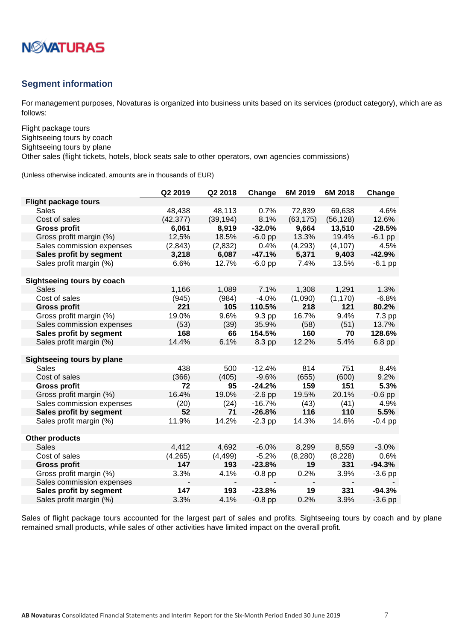

### <span id="page-6-0"></span>**Segment information**

For management purposes, Novaturas is organized into business units based on its services (product category), which are as follows:

Flight package tours Sightseeing tours by coach Sightseeing tours by plane

Other sales (flight tickets, hotels, block seats sale to other operators, own agencies commissions)

(Unless otherwise indicated, amounts are in thousands of EUR)

|                             | Q2 2019   | Q2 2018   | Change    | 6M 2019   | 6M 2018   | Change    |
|-----------------------------|-----------|-----------|-----------|-----------|-----------|-----------|
| <b>Flight package tours</b> |           |           |           |           |           |           |
| Sales                       | 48,438    | 48,113    | 0.7%      | 72,839    | 69,638    | 4.6%      |
| Cost of sales               | (42, 377) | (39, 194) | 8.1%      | (63, 175) | (56, 128) | 12.6%     |
| <b>Gross profit</b>         | 6,061     | 8,919     | $-32.0%$  | 9,664     | 13,510    | $-28.5%$  |
| Gross profit margin (%)     | 12,5%     | 18.5%     | $-6.0$ pp | 13.3%     | 19.4%     | $-6.1$ pp |
| Sales commission expenses   | (2, 843)  | (2,832)   | 0.4%      | (4,293)   | (4, 107)  | 4.5%      |
| Sales profit by segment     | 3,218     | 6,087     | $-47.1%$  | 5,371     | 9,403     | $-42.9%$  |
| Sales profit margin (%)     | 6.6%      | 12.7%     | $-6.0$ pp | 7.4%      | 13.5%     | $-6.1$ pp |
|                             |           |           |           |           |           |           |
| Sightseeing tours by coach  |           |           |           |           |           |           |
| Sales                       | 1,166     | 1,089     | 7.1%      | 1,308     | 1,291     | 1.3%      |
| Cost of sales               | (945)     | (984)     | $-4.0%$   | (1,090)   | (1, 170)  | $-6.8%$   |
| <b>Gross profit</b>         | 221       | 105       | 110.5%    | 218       | 121       | 80.2%     |
| Gross profit margin (%)     | 19.0%     | 9.6%      | 9.3 pp    | 16.7%     | 9.4%      | 7.3 pp    |
| Sales commission expenses   | (53)      | (39)      | 35.9%     | (58)      | (51)      | 13.7%     |
| Sales profit by segment     | 168       | 66        | 154.5%    | 160       | 70        | 128.6%    |
| Sales profit margin (%)     | 14.4%     | 6.1%      | 8.3 pp    | 12.2%     | 5.4%      | 6.8 pp    |
|                             |           |           |           |           |           |           |
| Sightseeing tours by plane  |           |           |           |           |           |           |
| Sales                       | 438       | 500       | $-12.4%$  | 814       | 751       | 8.4%      |
| Cost of sales               | (366)     | (405)     | $-9.6%$   | (655)     | (600)     | 9.2%      |
| <b>Gross profit</b>         | 72        | 95        | $-24.2%$  | 159       | 151       | 5.3%      |
| Gross profit margin (%)     | 16.4%     | 19.0%     | $-2.6$ pp | 19.5%     | 20.1%     | $-0.6$ pp |
| Sales commission expenses   | (20)      | (24)      | $-16.7%$  | (43)      | (41)      | 4.9%      |
| Sales profit by segment     | 52        | 71        | $-26.8%$  | 116       | 110       | 5.5%      |
| Sales profit margin (%)     | 11.9%     | 14.2%     | $-2.3$ pp | 14.3%     | 14.6%     | $-0.4$ pp |
|                             |           |           |           |           |           |           |
| <b>Other products</b>       |           |           |           |           |           |           |
| <b>Sales</b>                | 4,412     | 4,692     | $-6.0%$   | 8,299     | 8,559     | $-3.0%$   |
| Cost of sales               | (4, 265)  | (4, 499)  | $-5.2%$   | (8, 280)  | (8, 228)  | 0.6%      |
| <b>Gross profit</b>         | 147       | 193       | $-23.8%$  | 19        | 331       | $-94.3%$  |
| Gross profit margin (%)     | 3.3%      | 4.1%      | $-0.8$ pp | 0.2%      | 3.9%      | $-3.6$ pp |
| Sales commission expenses   |           |           |           |           |           |           |
| Sales profit by segment     | 147       | 193       | $-23.8%$  | 19        | 331       | $-94.3%$  |
| Sales profit margin (%)     | 3.3%      | 4.1%      | $-0.8$ pp | 0.2%      | 3.9%      | $-3.6$ pp |

Sales of flight package tours accounted for the largest part of sales and profits. Sightseeing tours by coach and by plane remained small products, while sales of other activities have limited impact on the overall profit.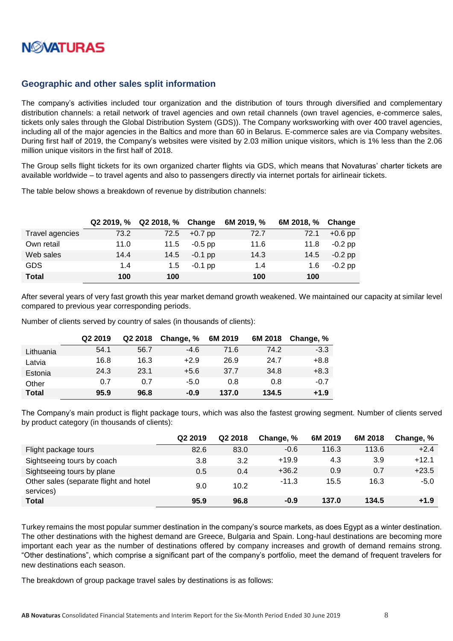

### <span id="page-7-0"></span>**Geographic and other sales split information**

The company's activities included tour organization and the distribution of tours through diversified and complementary distribution channels: a retail network of travel agencies and own retail channels (own travel agencies, e-commerce sales, tickets only sales through the Global Distribution System (GDS)). The Company worksworking with over 400 travel agencies, including all of the major agencies in the Baltics and more than 60 in Belarus. E-commerce sales are via Company websites. During first half of 2019, the Company's websites were visited by 2.03 million unique visitors, which is 1% less than the 2.06 million unique visitors in the first half of 2018.

The Group sells flight tickets for its own organized charter flights via GDS, which means that Novaturas' charter tickets are available worldwide – to travel agents and also to passengers directly via internet portals for airlineair tickets.

The table below shows a breakdown of revenue by distribution channels:

|                 | Q2 2019, % | Q2 2018, % | Change    | 6M 2019, % | 6M 2018, % | Change    |
|-----------------|------------|------------|-----------|------------|------------|-----------|
| Travel agencies | 73.2       | 72.5       | $+0.7$ pp | 72.7       | 72.1       | $+0.6$ pp |
| Own retail      | 11.0       | 11.5       | $-0.5$ pp | 11.6       | 11.8       | $-0.2$ pp |
| Web sales       | 14.4       | 14.5       | $-0.1$ pp | 14.3       | 14.5       | $-0.2$ pp |
| <b>GDS</b>      | 1.4        | 1.5        | $-0.1$ pp | 1.4        | 1.6        | $-0.2$ pp |
| <b>Total</b>    | 100        | 100        |           | 100        | 100        |           |

After several years of very fast growth this year market demand growth weakened. We maintained our capacity at similar level compared to previous year corresponding periods.

Number of clients served by country of sales (in thousands of clients):

|              | Q <sub>2</sub> 2019 | Q2 2018 | Change, % | 6M 2019 | 6M 2018 | Change, % |
|--------------|---------------------|---------|-----------|---------|---------|-----------|
| Lithuania    | 54.1                | 56.7    | $-4.6$    | 71.6    | 74.2    | $-3.3$    |
| Latvia       | 16.8                | 16.3    | $+2.9$    | 26.9    | 24.7    | $+8.8$    |
| Estonia      | 24.3                | 23.1    | $+5.6$    | 37.7    | 34.8    | $+8.3$    |
| Other        | 0.7                 | 0.7     | $-5.0$    | 0.8     | 0.8     | $-0.7$    |
| <b>Total</b> | 95.9                | 96.8    | $-0.9$    | 137.0   | 134.5   | $+1.9$    |

The Company's main product is flight package tours, which was also the fastest growing segment. Number of clients served by product category (in thousands of clients):

|                                                     | Q <sub>2</sub> 2019 | Q2 2018 | Change, % | 6M 2019 | 6M 2018 | Change, % |
|-----------------------------------------------------|---------------------|---------|-----------|---------|---------|-----------|
| Flight package tours                                | 82.6                | 83.0    | $-0.6$    | 116.3   | 113.6   | $+2.4$    |
| Sightseeing tours by coach                          | 3.8                 | 3.2     | $+19.9$   | 4.3     | 3.9     | $+12.1$   |
| Sightseeing tours by plane                          | 0.5                 | 0.4     | $+36.2$   | 0.9     | 0.7     | $+23.5$   |
| Other sales (separate flight and hotel<br>services) | 9.0                 | 10.2    | $-11.3$   | 15.5    | 16.3    | $-5.0$    |
| <b>Total</b>                                        | 95.9                | 96.8    | $-0.9$    | 137.0   | 134.5   | $+1.9$    |

Turkey remains the most popular summer destination in the company's source markets, as does Egypt as a winter destination. The other destinations with the highest demand are Greece, Bulgaria and Spain. Long-haul destinations are becoming more important each year as the number of destinations offered by company increases and growth of demand remains strong. "Other destinations", which comprise a significant part of the company's portfolio, meet the demand of frequent travelers for new destinations each season.

The breakdown of group package travel sales by destinations is as follows: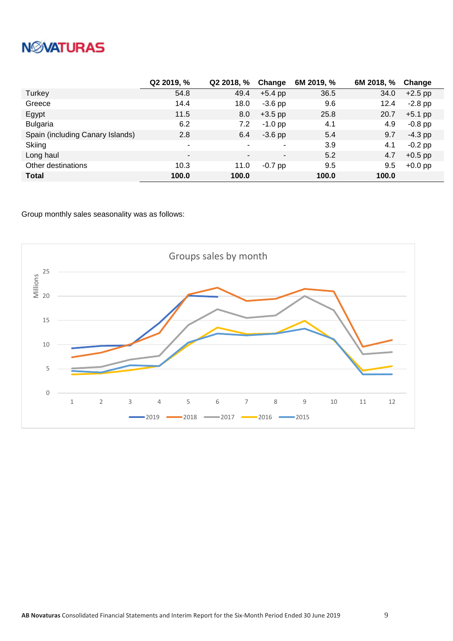# **NWATURAS**

|                                  | Q2 2019, % | Q2 2018, % | Change                   | 6M 2019, % | 6M 2018, % | Change    |
|----------------------------------|------------|------------|--------------------------|------------|------------|-----------|
| Turkey                           | 54.8       | 49.4       | $+5.4$ pp                | 36.5       | 34.0       | $+2.5$ pp |
| Greece                           | 14.4       | 18.0       | $-3.6$ pp                | 9.6        | 12.4       | $-2.8$ pp |
| Egypt                            | 11.5       | 8.0        | $+3.5$ pp                | 25.8       | 20.7       | $+5.1$ pp |
| <b>Bulgaria</b>                  | 6.2        | 7.2        | $-1.0$ pp                | 4.1        | 4.9        | $-0.8$ pp |
| Spain (including Canary Islands) | 2.8        | 6.4        | $-3.6$ pp                | 5.4        | 9.7        | $-4.3$ pp |
| Skiing                           | ۰          |            | ۰                        | 3.9        | 4.1        | $-0.2$ pp |
| Long haul                        | ۰.         | -          | $\overline{\phantom{a}}$ | 5.2        | 4.7        | $+0.5$ pp |
| Other destinations               | 10.3       | 11.0       | $-0.7$ pp                | 9.5        | 9.5        | $+0.0$ pp |
| <b>Total</b>                     | 100.0      | 100.0      |                          | 100.0      | 100.0      |           |

Group monthly sales seasonality was as follows:

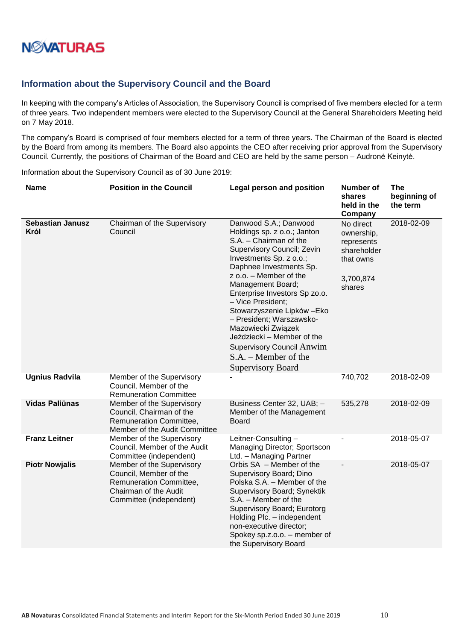

### <span id="page-9-0"></span>**Information about the Supervisory Council and the Board**

In keeping with the company's Articles of Association, the Supervisory Council is comprised of five members elected for a term of three years. Two independent members were elected to the Supervisory Council at the General Shareholders Meeting held on 7 May 2018.

The company's Board is comprised of four members elected for a term of three years. The Chairman of the Board is elected by the Board from among its members. The Board also appoints the CEO after receiving prior approval from the Supervisory Council. Currently, the positions of Chairman of the Board and CEO are held by the same person – Audronė Keinytė.

Information about the Supervisory Council as of 30 June 2019:

| <b>Name</b>                     | <b>Position in the Council</b>                                                                                                     | Legal person and position                                                                                                                                                                                                                                                                                                                                                                                                                                                        | <b>Number of</b><br>shares<br>held in the<br>Company                                     | <b>The</b><br>beginning of<br>the term |
|---------------------------------|------------------------------------------------------------------------------------------------------------------------------------|----------------------------------------------------------------------------------------------------------------------------------------------------------------------------------------------------------------------------------------------------------------------------------------------------------------------------------------------------------------------------------------------------------------------------------------------------------------------------------|------------------------------------------------------------------------------------------|----------------------------------------|
| <b>Sebastian Janusz</b><br>Król | Chairman of the Supervisory<br>Council                                                                                             | Danwood S.A.; Danwood<br>Holdings sp. z o.o.; Janton<br>S.A. - Chairman of the<br>Supervisory Council; Zevin<br>Investments Sp. z o.o.;<br>Daphnee Investments Sp.<br>z o.o. - Member of the<br>Management Board;<br>Enterprise Investors Sp zo.o.<br>- Vice President;<br>Stowarzyszenie Lipków - Eko<br>- President; Warszawsko-<br>Mazowiecki Związek<br>Jeździecki - Member of the<br><b>Supervisory Council Anwim</b><br>$S.A. - Member of the$<br><b>Supervisory Board</b> | No direct<br>ownership,<br>represents<br>shareholder<br>that owns<br>3,700,874<br>shares | 2018-02-09                             |
| <b>Ugnius Radvila</b>           | Member of the Supervisory<br>Council, Member of the<br><b>Remuneration Committee</b>                                               |                                                                                                                                                                                                                                                                                                                                                                                                                                                                                  | 740,702                                                                                  | 2018-02-09                             |
| <b>Vidas Paliūnas</b>           | Member of the Supervisory<br>Council, Chairman of the<br>Remuneration Committee,<br>Member of the Audit Committee                  | Business Center 32, UAB; -<br>Member of the Management<br>Board                                                                                                                                                                                                                                                                                                                                                                                                                  | 535,278                                                                                  | 2018-02-09                             |
| <b>Franz Leitner</b>            | Member of the Supervisory<br>Council, Member of the Audit<br>Committee (independent)                                               | Leitner-Consulting-<br>Managing Director; Sportscon<br>Ltd. - Managing Partner                                                                                                                                                                                                                                                                                                                                                                                                   |                                                                                          | 2018-05-07                             |
| <b>Piotr Nowjalis</b>           | Member of the Supervisory<br>Council, Member of the<br>Remuneration Committee,<br>Chairman of the Audit<br>Committee (independent) | Orbis SA - Member of the<br>Supervisory Board; Dino<br>Polska S.A. - Member of the<br>Supervisory Board; Synektik<br>S.A. - Member of the<br>Supervisory Board; Eurotorg<br>Holding Plc. - independent<br>non-executive director;<br>Spokey sp.z.o.o. - member of<br>the Supervisory Board                                                                                                                                                                                       |                                                                                          | 2018-05-07                             |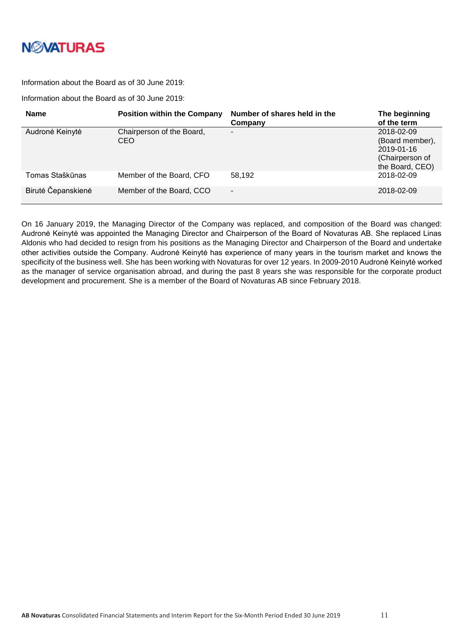

#### Information about the Board as of 30 June 2019:

Information about the Board as of 30 June 2019:

| <b>Name</b>        | <b>Position within the Company</b> | Number of shares held in the<br>Company | The beginning<br>of the term                                                      |
|--------------------|------------------------------------|-----------------------------------------|-----------------------------------------------------------------------------------|
| Audronė Keinytė    | Chairperson of the Board,<br>CEO   | $\blacksquare$                          | 2018-02-09<br>(Board member),<br>2019-01-16<br>(Chairperson of<br>the Board, CEO) |
| Tomas Staškūnas    | Member of the Board, CFO           | 58.192                                  | 2018-02-09                                                                        |
| Birutė Čepanskienė | Member of the Board, CCO           | ٠                                       | 2018-02-09                                                                        |

On 16 January 2019, the Managing Director of the Company was replaced, and composition of the Board was changed: Audronė Keinytė was appointed the Managing Director and Chairperson of the Board of Novaturas AB. She replaced Linas Aldonis who had decided to resign from his positions as the Managing Director and Chairperson of the Board and undertake other activities outside the Company. Audronė Keinytė has experience of many years in the tourism market and knows the specificity of the business well. She has been working with Novaturas for over 12 years. In 2009-2010 Audronė Keinytė worked as the manager of service organisation abroad, and during the past 8 years she was responsible for the corporate product development and procurement. She is a member of the Board of Novaturas AB since February 2018.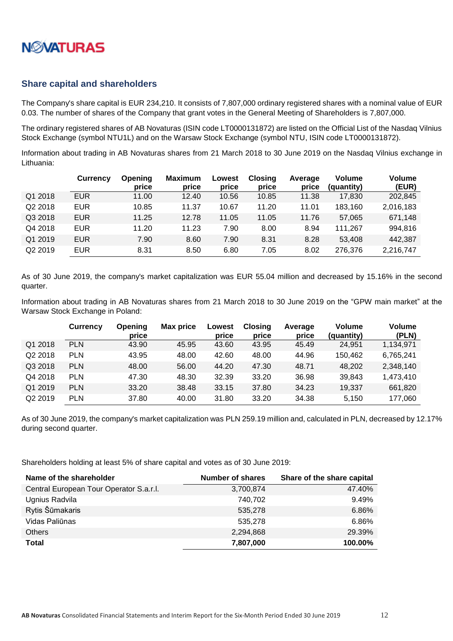

### <span id="page-11-0"></span>**Share capital and shareholders**

The Company's share capital is EUR 234,210. It consists of 7,807,000 ordinary registered shares with a nominal value of EUR 0.03. The number of shares of the Company that grant votes in the General Meeting of Shareholders is 7,807,000.

The ordinary registered shares of AB Novaturas (ISIN code LT0000131872) are listed on the Official List of the Nasdaq Vilnius Stock Exchange (symbol NTU1L) and on the Warsaw Stock Exchange (symbol NTU, ISIN code LT0000131872).

Information about trading in AB Novaturas shares from 21 March 2018 to 30 June 2019 on the Nasdaq Vilnius exchange in Lithuania:

|                     | <b>Currency</b> | Opening<br>price | <b>Maximum</b><br>price | Lowest<br>price | <b>Closing</b><br>price | Average<br>price | <b>Volume</b><br>(quantity) | <b>Volume</b><br>(EUR) |
|---------------------|-----------------|------------------|-------------------------|-----------------|-------------------------|------------------|-----------------------------|------------------------|
| Q1 2018             | <b>EUR</b>      | 11.00            | 12.40                   | 10.56           | 10.85                   | 11.38            | 17,830                      | 202,845                |
| Q2 2018             | <b>EUR</b>      | 10.85            | 11.37                   | 10.67           | 11.20                   | 11.01            | 183,160                     | 2,016,183              |
| Q3 2018             | <b>EUR</b>      | 11.25            | 12.78                   | 11.05           | 11.05                   | 11.76            | 57,065                      | 671,148                |
| Q4 2018             | <b>EUR</b>      | 11.20            | 11.23                   | 7.90            | 8.00                    | 8.94             | 111,267                     | 994,816                |
| Q1 2019             | <b>EUR</b>      | 7.90             | 8.60                    | 7.90            | 8.31                    | 8.28             | 53.408                      | 442,387                |
| Q <sub>2</sub> 2019 | <b>EUR</b>      | 8.31             | 8.50                    | 6.80            | 7.05                    | 8.02             | 276,376                     | 2,216,747              |

As of 30 June 2019, the company's market capitalization was EUR 55.04 million and decreased by 15.16% in the second quarter.

Information about trading in AB Novaturas shares from 21 March 2018 to 30 June 2019 on the "GPW main market" at the Warsaw Stock Exchange in Poland:

|         | <b>Currency</b> | Opening<br>price | Max price | Lowest<br>price | <b>Closing</b><br>price | Average<br>price | Volume<br>(quantity) | <b>Volume</b><br>(PLN) |
|---------|-----------------|------------------|-----------|-----------------|-------------------------|------------------|----------------------|------------------------|
| Q1 2018 | <b>PLN</b>      | 43.90            | 45.95     | 43.60           | 43.95                   | 45.49            | 24.951               | 1,134,971              |
| Q2 2018 | <b>PLN</b>      | 43.95            | 48.00     | 42.60           | 48.00                   | 44.96            | 150.462              | 6,765,241              |
| Q3 2018 | <b>PLN</b>      | 48.00            | 56.00     | 44.20           | 47.30                   | 48.71            | 48,202               | 2,348,140              |
| Q4 2018 | <b>PLN</b>      | 47.30            | 48.30     | 32.39           | 33.20                   | 36.98            | 39,843               | 1,473,410              |
| Q1 2019 | <b>PLN</b>      | 33.20            | 38.48     | 33.15           | 37.80                   | 34.23            | 19,337               | 661,820                |
| Q2 2019 | <b>PLN</b>      | 37.80            | 40.00     | 31.80           | 33.20                   | 34.38            | 5,150                | 177.060                |

As of 30 June 2019, the company's market capitalization was PLN 259.19 million and, calculated in PLN, decreased by 12.17% during second quarter.

Shareholders holding at least 5% of share capital and votes as of 30 June 2019:

| Name of the shareholder                 | <b>Number of shares</b> | Share of the share capital |
|-----------------------------------------|-------------------------|----------------------------|
| Central European Tour Operator S.a.r.l. | 3,700,874               | 47.40%                     |
| Ugnius Radvila                          | 740,702                 | 9.49%                      |
| Rytis Šūmakaris                         | 535,278                 | 6.86%                      |
| Vidas Paliūnas                          | 535,278                 | 6.86%                      |
| <b>Others</b>                           | 2,294,868               | 29.39%                     |
| Total                                   | 7,807,000               | 100.00%                    |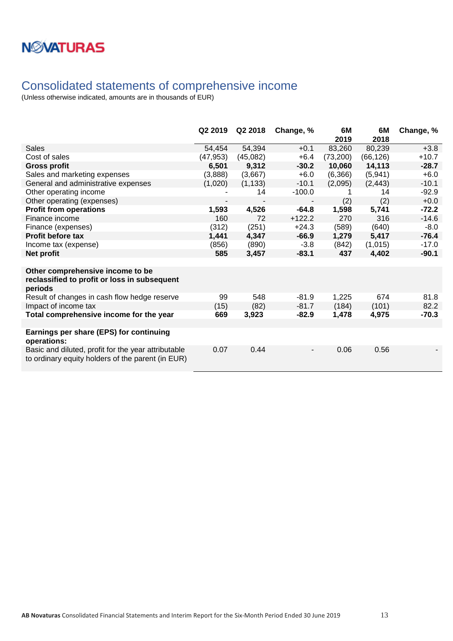

## <span id="page-12-0"></span>Consolidated statements of comprehensive income

|                                                                                                          | Q2 2019   | Q2 2018  | Change, % | 6M<br>2019 | 6M<br>2018 | Change, % |
|----------------------------------------------------------------------------------------------------------|-----------|----------|-----------|------------|------------|-----------|
| Sales                                                                                                    | 54,454    | 54,394   | $+0.1$    | 83,260     | 80,239     | $+3.8$    |
| Cost of sales                                                                                            | (47, 953) | (45,082) | $+6.4$    | (73,200)   | (66, 126)  | $+10.7$   |
| <b>Gross profit</b>                                                                                      | 6,501     | 9,312    | $-30.2$   | 10,060     | 14,113     | $-28.7$   |
| Sales and marketing expenses                                                                             | (3,888)   | (3,667)  | $+6.0$    | (6,366)    | (5,941)    | $+6.0$    |
| General and administrative expenses                                                                      | (1,020)   | (1, 133) | $-10.1$   | (2,095)    | (2, 443)   | $-10.1$   |
| Other operating income                                                                                   |           | 14       | $-100.0$  |            | 14         | $-92.9$   |
| Other operating (expenses)                                                                               |           |          |           | (2)        | (2)        | $+0.0$    |
| <b>Profit from operations</b>                                                                            | 1,593     | 4,526    | $-64.8$   | 1,598      | 5,741      | $-72.2$   |
| Finance income                                                                                           | 160       | 72       | $+122.2$  | 270        | 316        | $-14.6$   |
| Finance (expenses)                                                                                       | (312)     | (251)    | $+24.3$   | (589)      | (640)      | $-8.0$    |
| <b>Profit before tax</b>                                                                                 | 1,441     | 4,347    | $-66.9$   | 1,279      | 5,417      | $-76.4$   |
| Income tax (expense)                                                                                     | (856)     | (890)    | $-3.8$    | (842)      | (1,015)    | $-17.0$   |
| Net profit                                                                                               | 585       | 3,457    | $-83.1$   | 437        | 4,402      | $-90.1$   |
|                                                                                                          |           |          |           |            |            |           |
| Other comprehensive income to be<br>reclassified to profit or loss in subsequent<br>periods              |           |          |           |            |            |           |
| Result of changes in cash flow hedge reserve                                                             | 99        | 548      | $-81.9$   | 1,225      | 674        | 81.8      |
| Impact of income tax                                                                                     | (15)      | (82)     | $-81.7$   | (184)      | (101)      | 82.2      |
| Total comprehensive income for the year                                                                  | 669       | 3,923    | $-82.9$   | 1,478      | 4,975      | $-70.3$   |
|                                                                                                          |           |          |           |            |            |           |
| Earnings per share (EPS) for continuing<br>operations:                                                   |           |          |           |            |            |           |
| Basic and diluted, profit for the year attributable<br>to ordinary equity holders of the parent (in EUR) | 0.07      | 0.44     |           | 0.06       | 0.56       |           |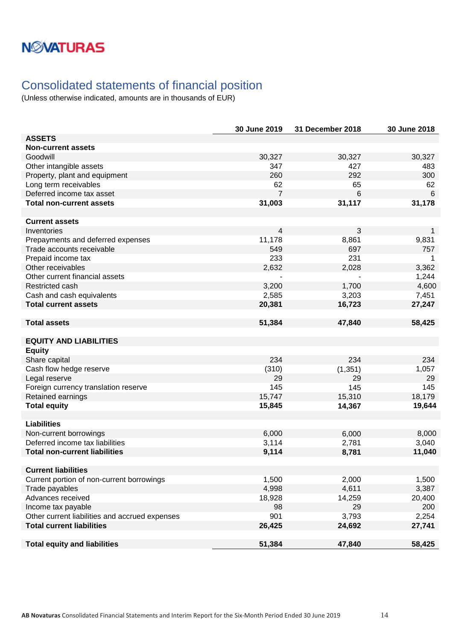# **NMATURAS**

## <span id="page-13-0"></span>Consolidated statements of financial position

|                                                | 30 June 2019   | 31 December 2018 | 30 June 2018    |
|------------------------------------------------|----------------|------------------|-----------------|
| <b>ASSETS</b>                                  |                |                  |                 |
| <b>Non-current assets</b>                      |                |                  |                 |
| Goodwill                                       | 30,327         | 30,327           | 30,327          |
| Other intangible assets                        | 347            | 427              | 483             |
| Property, plant and equipment                  | 260            | 292              | 300             |
| Long term receivables                          | 62             | 65               | 62              |
| Deferred income tax asset                      | $\overline{7}$ | 6                | $6\phantom{1}6$ |
| <b>Total non-current assets</b>                | 31,003         | 31,117           | 31,178          |
|                                                |                |                  |                 |
| <b>Current assets</b>                          |                |                  |                 |
| Inventories                                    | 4              | 3                | 1               |
| Prepayments and deferred expenses              | 11,178         | 8,861            | 9,831           |
| Trade accounts receivable                      | 549            | 697              | 757             |
| Prepaid income tax                             | 233            | 231              | 1               |
| Other receivables                              | 2,632          | 2,028            | 3,362           |
| Other current financial assets                 |                |                  | 1,244           |
| Restricted cash                                | 3,200          | 1,700            | 4,600           |
| Cash and cash equivalents                      | 2,585          | 3,203            | 7,451           |
| <b>Total current assets</b>                    | 20,381         | 16,723           | 27,247          |
|                                                |                |                  |                 |
| <b>Total assets</b>                            | 51,384         | 47,840           | 58,425          |
|                                                |                |                  |                 |
| <b>EQUITY AND LIABILITIES</b>                  |                |                  |                 |
| <b>Equity</b>                                  |                |                  |                 |
| Share capital                                  | 234            | 234              | 234             |
| Cash flow hedge reserve                        | (310)          | (1, 351)         | 1,057           |
| Legal reserve                                  | 29             | 29               | 29              |
| Foreign currency translation reserve           | 145            | 145              | 145             |
| Retained earnings                              | 15,747         | 15,310           | 18,179          |
| <b>Total equity</b>                            | 15,845         | 14,367           | 19,644          |
|                                                |                |                  |                 |
| <b>Liabilities</b>                             |                |                  |                 |
| Non-current borrowings                         | 6,000          | 6,000            | 8,000           |
| Deferred income tax liabilities                | 3,114          | 2,781            | 3,040           |
| <b>Total non-current liabilities</b>           | 9,114          | 8,781            | 11,040          |
|                                                |                |                  |                 |
| <b>Current liabilities</b>                     |                |                  |                 |
| Current portion of non-current borrowings      | 1,500          | 2,000            | 1,500           |
| Trade payables                                 | 4,998          | 4,611            | 3,387           |
| Advances received                              | 18,928         | 14,259           | 20,400          |
| Income tax payable                             | 98             | 29               | 200             |
| Other current liabilities and accrued expenses | 901            | 3,793            | 2,254           |
| <b>Total current liabilities</b>               | 26,425         | 24,692           | 27,741          |
|                                                |                |                  |                 |
| <b>Total equity and liabilities</b>            | 51,384         | 47,840           | 58,425          |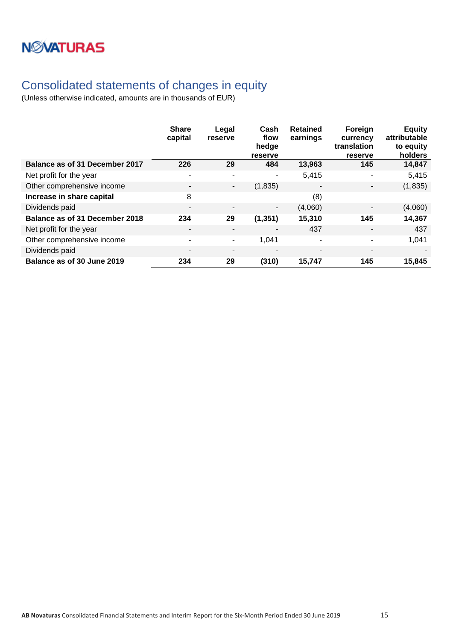# **NWATURAS**

## <span id="page-14-0"></span>Consolidated statements of changes in equity

|                                       | <b>Share</b><br>capital  | Legal<br>reserve      | Cash<br>flow<br>hedge<br>reserve | <b>Retained</b><br>earnings | Foreign<br>currency<br>translation<br>reserve | <b>Equity</b><br>attributable<br>to equity<br>holders |
|---------------------------------------|--------------------------|-----------------------|----------------------------------|-----------------------------|-----------------------------------------------|-------------------------------------------------------|
| Balance as of 31 December 2017        | 226                      | 29                    | 484                              | 13,963                      | 145                                           | 14,847                                                |
| Net profit for the year               | $\overline{\phantom{a}}$ | $\tilde{\phantom{a}}$ |                                  | 5,415                       | ۰                                             | 5,415                                                 |
| Other comprehensive income            | $\overline{\phantom{a}}$ | ٠                     | (1,835)                          |                             | $\blacksquare$                                | (1,835)                                               |
| Increase in share capital             | 8                        |                       |                                  | (8)                         |                                               |                                                       |
| Dividends paid                        | $\overline{\phantom{a}}$ |                       | ۰                                | (4,060)                     | ٠                                             | (4,060)                                               |
| <b>Balance as of 31 December 2018</b> | 234                      | 29                    | (1, 351)                         | 15,310                      | 145                                           | 14,367                                                |
| Net profit for the year               | $\overline{\phantom{a}}$ | $\blacksquare$        |                                  | 437                         | $\overline{\phantom{a}}$                      | 437                                                   |
| Other comprehensive income            | $\overline{\phantom{a}}$ | $\sim$                | 1,041                            | ۰                           | ۰                                             | 1,041                                                 |
| Dividends paid                        | $\overline{\phantom{a}}$ | $\blacksquare$        |                                  |                             | $\overline{\phantom{a}}$                      |                                                       |
| Balance as of 30 June 2019            | 234                      | 29                    | (310)                            | 15,747                      | 145                                           | 15,845                                                |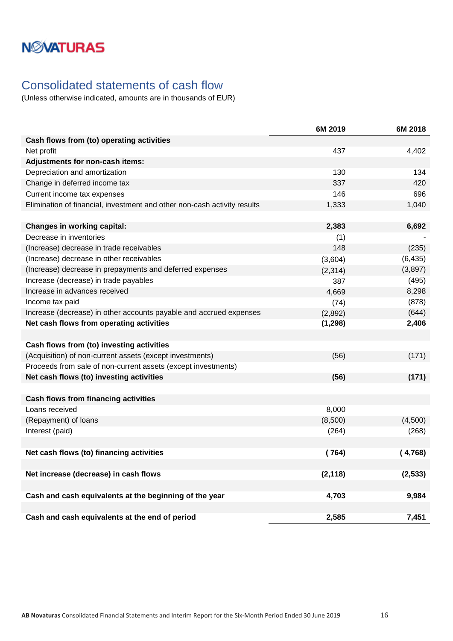# **NMATURAS**

## <span id="page-15-0"></span>Consolidated statements of cash flow

|                                                                          | 6M 2019  | 6M 2018  |
|--------------------------------------------------------------------------|----------|----------|
| Cash flows from (to) operating activities                                |          |          |
| Net profit                                                               | 437      | 4,402    |
| Adjustments for non-cash items:                                          |          |          |
| Depreciation and amortization                                            | 130      | 134      |
| Change in deferred income tax                                            | 337      | 420      |
| Current income tax expenses                                              | 146      | 696      |
| Elimination of financial, investment and other non-cash activity results | 1,333    | 1,040    |
|                                                                          |          |          |
| <b>Changes in working capital:</b>                                       | 2,383    | 6,692    |
| Decrease in inventories                                                  | (1)      |          |
| (Increase) decrease in trade receivables                                 | 148      | (235)    |
| (Increase) decrease in other receivables                                 | (3,604)  | (6, 435) |
| (Increase) decrease in prepayments and deferred expenses                 | (2, 314) | (3,897)  |
| Increase (decrease) in trade payables                                    | 387      | (495)    |
| Increase in advances received                                            | 4,669    | 8,298    |
| Income tax paid                                                          | (74)     | (878)    |
| Increase (decrease) in other accounts payable and accrued expenses       | (2,892)  | (644)    |
| Net cash flows from operating activities                                 | (1, 298) | 2,406    |
|                                                                          |          |          |
| Cash flows from (to) investing activities                                |          |          |
| (Acquisition) of non-current assets (except investments)                 | (56)     | (171)    |
| Proceeds from sale of non-current assets (except investments)            |          |          |
| Net cash flows (to) investing activities                                 | (56)     | (171)    |
|                                                                          |          |          |
| <b>Cash flows from financing activities</b>                              |          |          |
| Loans received                                                           | 8,000    |          |
| (Repayment) of loans                                                     | (8,500)  | (4,500)  |
| Interest (paid)                                                          | (264)    | (268)    |
|                                                                          |          |          |
| Net cash flows (to) financing activities                                 | (764)    | (4,768)  |
|                                                                          |          |          |
| Net increase (decrease) in cash flows                                    | (2, 118) | (2, 533) |
|                                                                          |          |          |
| Cash and cash equivalents at the beginning of the year                   | 4,703    | 9,984    |
|                                                                          |          |          |
| Cash and cash equivalents at the end of period                           | 2,585    | 7,451    |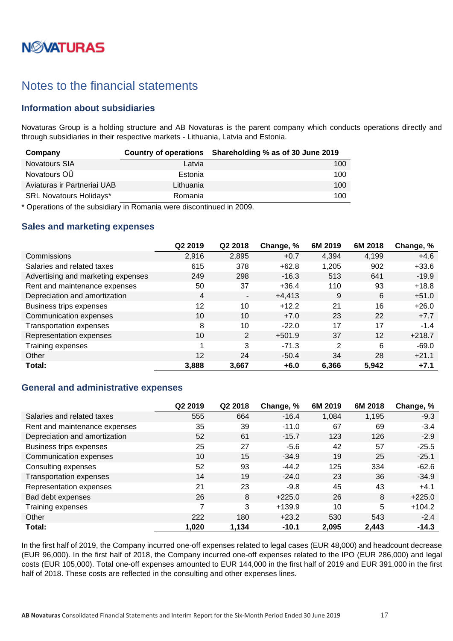# **NØVATURAS**

## <span id="page-16-0"></span>Notes to the financial statements

### <span id="page-16-1"></span>**Information about subsidiaries**

Novaturas Group is a holding structure and AB Novaturas is the parent company which conducts operations directly and through subsidiaries in their respective markets - Lithuania, Latvia and Estonia.

| Company                        |           | Country of operations Shareholding % as of 30 June 2019 |
|--------------------------------|-----------|---------------------------------------------------------|
| <b>Novatours SIA</b>           | Latvia    | 100                                                     |
| Novatours OÜ                   | Estonia   | 100                                                     |
| Aviaturas ir Partneriai UAB    | Lithuania | 100                                                     |
| <b>SRL Novatours Holidays*</b> | Romania   | 100                                                     |

\* Operations of the subsidiary in Romania were discontinued in 2009.

### <span id="page-16-2"></span>**Sales and marketing expenses**

|                                    | Q2 2019 | Q2 2018        | Change, % | 6M 2019 | 6M 2018 | Change, % |
|------------------------------------|---------|----------------|-----------|---------|---------|-----------|
| Commissions                        | 2,916   | 2,895          | $+0.7$    | 4,394   | 4,199   | $+4.6$    |
| Salaries and related taxes         | 615     | 378            | $+62.8$   | 1,205   | 902     | $+33.6$   |
| Advertising and marketing expenses | 249     | 298            | $-16.3$   | 513     | 641     | $-19.9$   |
| Rent and maintenance expenses      | 50      | 37             | $+36.4$   | 110     | 93      | $+18.8$   |
| Depreciation and amortization      | 4       | $\blacksquare$ | $+4,413$  | 9       | 6       | $+51.0$   |
| Business trips expenses            | 12      | 10             | $+12.2$   | 21      | 16      | $+26.0$   |
| Communication expenses             | 10      | 10             | $+7.0$    | 23      | 22      | $+7.7$    |
| <b>Transportation expenses</b>     | 8       | 10             | $-22.0$   | 17      | 17      | $-1.4$    |
| Representation expenses            | 10      | 2              | $+501.9$  | 37      | 12      | $+218.7$  |
| Training expenses                  | и       | 3              | $-71.3$   | 2       | 6       | $-69.0$   |
| Other                              | 12      | 24             | $-50.4$   | 34      | 28      | $+21.1$   |
| Total:                             | 3,888   | 3,667          | $+6.0$    | 6,366   | 5,942   | $+7.1$    |

### <span id="page-16-3"></span>**General and administrative expenses**

|                                | Q2 2019 | Q2 2018 | Change, % | 6M 2019 | 6M 2018 | Change, % |
|--------------------------------|---------|---------|-----------|---------|---------|-----------|
| Salaries and related taxes     | 555     | 664     | $-16.4$   | 1,084   | 1,195   | $-9.3$    |
| Rent and maintenance expenses  | 35      | 39      | $-11.0$   | 67      | 69      | $-3.4$    |
| Depreciation and amortization  | 52      | 61      | $-15.7$   | 123     | 126     | $-2.9$    |
| Business trips expenses        | 25      | 27      | $-5.6$    | 42      | 57      | $-25.5$   |
| Communication expenses         | 10      | 15      | $-34.9$   | 19      | 25      | $-25.1$   |
| Consulting expenses            | 52      | 93      | $-44.2$   | 125     | 334     | $-62.6$   |
| <b>Transportation expenses</b> | 14      | 19      | $-24.0$   | 23      | 36      | $-34.9$   |
| Representation expenses        | 21      | 23      | $-9.8$    | 45      | 43      | $+4.1$    |
| Bad debt expenses              | 26      | 8       | $+225.0$  | 26      | 8       | $+225.0$  |
| Training expenses              | 7       | 3       | $+139.9$  | 10      | 5       | $+104.2$  |
| Other                          | 222     | 180     | $+23.2$   | 530     | 543     | $-2.4$    |
| Total:                         | 1,020   | 1,134   | $-10.1$   | 2.095   | 2,443   | $-14.3$   |

In the first half of 2019, the Company incurred one-off expenses related to legal cases (EUR 48,000) and headcount decrease (EUR 96,000). In the first half of 2018, the Company incurred one-off expenses related to the IPO (EUR 286,000) and legal costs (EUR 105,000). Total one-off expenses amounted to EUR 144,000 in the first half of 2019 and EUR 391,000 in the first half of 2018. These costs are reflected in the consulting and other expenses lines.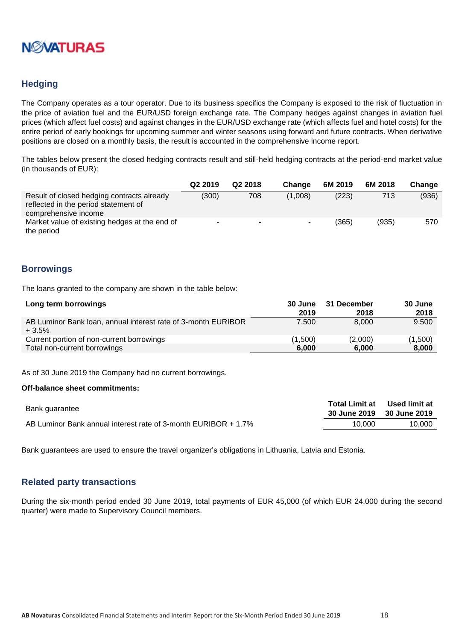

### <span id="page-17-0"></span>**Hedging**

The Company operates as a tour operator. Due to its business specifics the Company is exposed to the risk of fluctuation in the price of aviation fuel and the EUR/USD foreign exchange rate. The Company hedges against changes in aviation fuel prices (which affect fuel costs) and against changes in the EUR/USD exchange rate (which affects fuel and hotel costs) for the entire period of early bookings for upcoming summer and winter seasons using forward and future contracts. When derivative positions are closed on a monthly basis, the result is accounted in the comprehensive income report.

The tables below present the closed hedging contracts result and still-held hedging contracts at the period-end market value (in thousands of EUR):

|                                                                                                            | Q <sub>2</sub> 2019 | Q <sub>2</sub> 2018 | <b>Change</b> | 6M 2019 | 6M 2018 | Change |
|------------------------------------------------------------------------------------------------------------|---------------------|---------------------|---------------|---------|---------|--------|
| Result of closed hedging contracts already<br>reflected in the period statement of<br>comprehensive income | (300)               | 708                 | (1.008)       | (223)   | 713     | (936)  |
| Market value of existing hedges at the end of<br>the period                                                |                     | ж.                  | -             | (365)   | (935)   | 570    |

### <span id="page-17-1"></span>**Borrowings**

The loans granted to the company are shown in the table below:

| Long term borrowings                                                     | 30 June<br>2019 | 31 December<br>2018 | 30 June<br>2018 |
|--------------------------------------------------------------------------|-----------------|---------------------|-----------------|
| AB Luminor Bank Ioan, annual interest rate of 3-month EURIBOR<br>$+3.5%$ | 7.500           | 8.000               | 9,500           |
| Current portion of non-current borrowings                                | (1,500)         | (2,000)             | (1,500)         |
| Total non-current borrowings                                             | 6.000           | 6.000               | 8,000           |

As of 30 June 2019 the Company had no current borrowings.

#### **Off-balance sheet commitments:**

| Bank guarantee                                                 |        | Total Limit at Used limit at<br>30 June 2019 30 June 2019 |
|----------------------------------------------------------------|--------|-----------------------------------------------------------|
| AB Luminor Bank annual interest rate of 3-month EURIBOR + 1.7% | 10.000 | 10.000                                                    |

Bank guarantees are used to ensure the travel organizer's obligations in Lithuania, Latvia and Estonia.

#### <span id="page-17-2"></span>**Related party transactions**

During the six-month period ended 30 June 2019, total payments of EUR 45,000 (of which EUR 24,000 during the second quarter) were made to Supervisory Council members.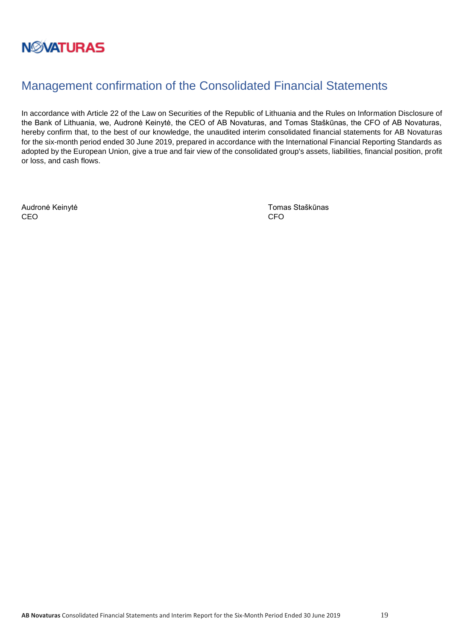

## <span id="page-18-0"></span>Management confirmation of the Consolidated Financial Statements

In accordance with Article 22 of the Law on Securities of the Republic of Lithuania and the Rules on Information Disclosure of the Bank of Lithuania, we, Audronė Keinytė, the CEO of AB Novaturas, and Tomas Staškūnas, the CFO of AB Novaturas, hereby confirm that, to the best of our knowledge, the unaudited interim consolidated financial statements for AB Novaturas for the six-month period ended 30 June 2019, prepared in accordance with the International Financial Reporting Standards as adopted by the European Union, give a true and fair view of the consolidated group's assets, liabilities, financial position, profit or loss, and cash flows.

CEO CEO CHE ANNO 1999, CHE ANNO 1999, CHE ANNO 1999, CHE ANNO 1999, CHE ANNO 1999, CHE ANNO 1999, CHE ANNO 199

Audronė Keinytė **Audronė Keinytė** Tomas Staškūnas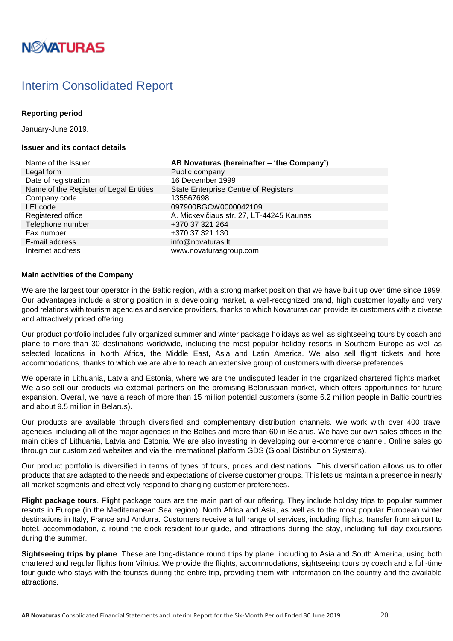# **NØVATURAS**

## <span id="page-19-0"></span>Interim Consolidated Report

### **Reporting period**

January-June 2019.

#### **Issuer and its contact details**

Legal form **Public company** Date of registration 16 December 1999 Name of the Register of Legal Entities State Enterprise Centre of Registers Company code 135567698 LEI code 097900BGCW0000042109 Telephone number +370 37 321 264 Fax number +370 37 321 130 E-mail address info@novaturas.lt Internet address www.novaturasgroup.com

Name of the Issuer **AB Novaturas (hereinafter – 'the Company')** Registered office **A. Mickevičiaus str. 27, LT-44245 Kaunas** 

#### **Main activities of the Company**

We are the largest tour operator in the Baltic region, with a strong market position that we have built up over time since 1999. Our advantages include a strong position in a developing market, a well-recognized brand, high customer loyalty and very good relations with tourism agencies and service providers, thanks to which Novaturas can provide its customers with a diverse and attractively priced offering.

Our product portfolio includes fully organized summer and winter package holidays as well as sightseeing tours by coach and plane to more than 30 destinations worldwide, including the most popular holiday resorts in Southern Europe as well as selected locations in North Africa, the Middle East, Asia and Latin America. We also sell flight tickets and hotel accommodations, thanks to which we are able to reach an extensive group of customers with diverse preferences.

We operate in Lithuania, Latvia and Estonia, where we are the undisputed leader in the organized chartered flights market. We also sell our products via external partners on the promising Belarussian market, which offers opportunities for future expansion. Overall, we have a reach of more than 15 million potential customers (some 6.2 million people in Baltic countries and about 9.5 million in Belarus).

Our products are available through diversified and complementary distribution channels. We work with over 400 travel agencies, including all of the major agencies in the Baltics and more than 60 in Belarus. We have our own sales offices in the main cities of Lithuania, Latvia and Estonia. We are also investing in developing our e-commerce channel. Online sales go through our customized websites and via the international platform GDS (Global Distribution Systems).

Our product portfolio is diversified in terms of types of tours, prices and destinations. This diversification allows us to offer products that are adapted to the needs and expectations of diverse customer groups. This lets us maintain a presence in nearly all market segments and effectively respond to changing customer preferences.

**Flight package tours**. Flight package tours are the main part of our offering. They include holiday trips to popular summer resorts in Europe (in the Mediterranean Sea region), North Africa and Asia, as well as to the most popular European winter destinations in Italy, France and Andorra. Customers receive a full range of services, including flights, transfer from airport to hotel, accommodation, a round-the-clock resident tour guide, and attractions during the stay, including full-day excursions during the summer.

**Sightseeing trips by plane**. These are long-distance round trips by plane, including to Asia and South America, using both chartered and regular flights from Vilnius. We provide the flights, accommodations, sightseeing tours by coach and a full-time tour guide who stays with the tourists during the entire trip, providing them with information on the country and the available attractions.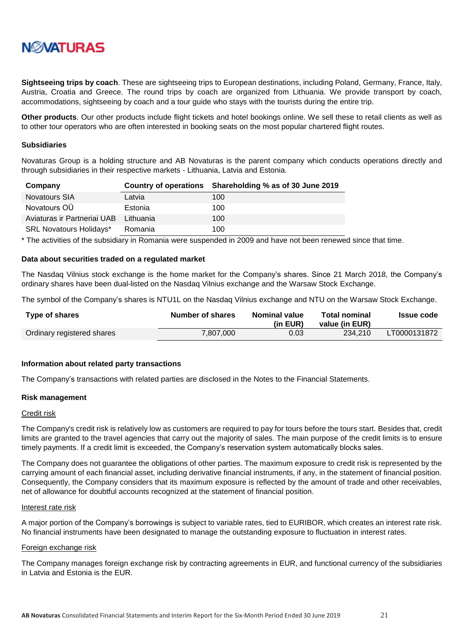

**Sightseeing trips by coach**. These are sightseeing trips to European destinations, including Poland, Germany, France, Italy, Austria, Croatia and Greece. The round trips by coach are organized from Lithuania. We provide transport by coach, accommodations, sightseeing by coach and a tour guide who stays with the tourists during the entire trip.

**Other products**. Our other products include flight tickets and hotel bookings online. We sell these to retail clients as well as to other tour operators who are often interested in booking seats on the most popular chartered flight routes.

#### **Subsidiaries**

Novaturas Group is a holding structure and AB Novaturas is the parent company which conducts operations directly and through subsidiaries in their respective markets - Lithuania, Latvia and Estonia.

| Company                        |           | Country of operations Shareholding % as of 30 June 2019 |
|--------------------------------|-----------|---------------------------------------------------------|
| <b>Novatours SIA</b>           | Latvia    | 100                                                     |
| Novatours OU                   | Estonia   | 100                                                     |
| Aviaturas ir Partneriai UAB    | Lithuania | 100                                                     |
| <b>SRL Novatours Holidays*</b> | Romania   | 100                                                     |

\* The activities of the subsidiary in Romania were suspended in 2009 and have not been renewed since that time.

#### **Data about securities traded on a regulated market**

The Nasdaq Vilnius stock exchange is the home market for the Company's shares. Since 21 March 2018, the Company's ordinary shares have been dual-listed on the Nasdaq Vilnius exchange and the Warsaw Stock Exchange.

The symbol of the Company's shares is NTU1L on the Nasdaq Vilnius exchange and NTU on the Warsaw Stock Exchange.

| Type of shares             | Number of shares | Nominal value<br>(in EUR) | Total nominal<br>value (in EUR) | Issue code   |
|----------------------------|------------------|---------------------------|---------------------------------|--------------|
| Ordinary registered shares | 7,807,000        | 0.03                      | 234.210                         | LT0000131872 |

#### **Information about related party transactions**

The Company's transactions with related parties are disclosed in the Notes to the Financial Statements.

#### **Risk management**

#### Credit risk

The Company's credit risk is relatively low as customers are required to pay for tours before the tours start. Besides that, credit limits are granted to the travel agencies that carry out the majority of sales. The main purpose of the credit limits is to ensure timely payments. If a credit limit is exceeded, the Company's reservation system automatically blocks sales.

The Company does not guarantee the obligations of other parties. The maximum exposure to credit risk is represented by the carrying amount of each financial asset, including derivative financial instruments, if any, in the statement of financial position. Consequently, the Company considers that its maximum exposure is reflected by the amount of trade and other receivables, net of allowance for doubtful accounts recognized at the statement of financial position.

#### Interest rate risk

A major portion of the Company's borrowings is subject to variable rates, tied to EURIBOR, which creates an interest rate risk. No financial instruments have been designated to manage the outstanding exposure to fluctuation in interest rates.

#### Foreign exchange risk

The Company manages foreign exchange risk by contracting agreements in EUR, and functional currency of the subsidiaries in Latvia and Estonia is the EUR.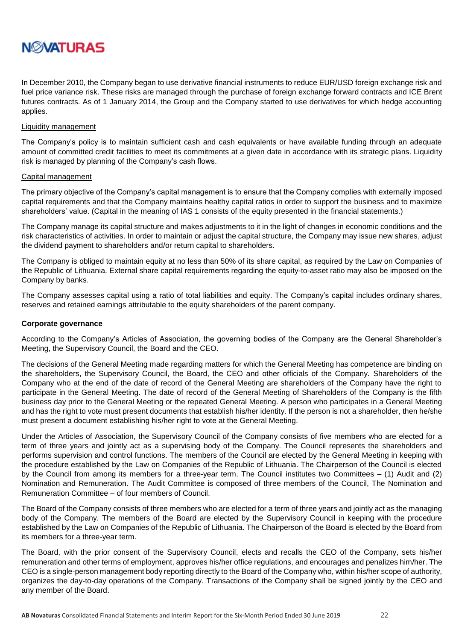

In December 2010, the Company began to use derivative financial instruments to reduce EUR/USD foreign exchange risk and fuel price variance risk. These risks are managed through the purchase of foreign exchange forward contracts and ICE Brent futures contracts. As of 1 January 2014, the Group and the Company started to use derivatives for which hedge accounting applies.

#### Liquidity management

The Company's policy is to maintain sufficient cash and cash equivalents or have available funding through an adequate amount of committed credit facilities to meet its commitments at a given date in accordance with its strategic plans. Liquidity risk is managed by planning of the Company's cash flows.

#### Capital management

The primary objective of the Company's capital management is to ensure that the Company complies with externally imposed capital requirements and that the Company maintains healthy capital ratios in order to support the business and to maximize shareholders' value. (Capital in the meaning of IAS 1 consists of the equity presented in the financial statements.)

The Company manage its capital structure and makes adjustments to it in the light of changes in economic conditions and the risk characteristics of activities. In order to maintain or adjust the capital structure, the Company may issue new shares, adjust the dividend payment to shareholders and/or return capital to shareholders.

The Company is obliged to maintain equity at no less than 50% of its share capital, as required by the Law on Companies of the Republic of Lithuania. External share capital requirements regarding the equity-to-asset ratio may also be imposed on the Company by banks.

The Company assesses capital using a ratio of total liabilities and equity. The Company's capital includes ordinary shares, reserves and retained earnings attributable to the equity shareholders of the parent company.

#### **Corporate governance**

According to the Company's Articles of Association, the governing bodies of the Company are the General Shareholder's Meeting, the Supervisory Council, the Board and the CEO.

The decisions of the General Meeting made regarding matters for which the General Meeting has competence are binding on the shareholders, the Supervisory Council, the Board, the CEO and other officials of the Company. Shareholders of the Company who at the end of the date of record of the General Meeting are shareholders of the Company have the right to participate in the General Meeting. The date of record of the General Meeting of Shareholders of the Company is the fifth business day prior to the General Meeting or the repeated General Meeting. A person who participates in a General Meeting and has the right to vote must present documents that establish his/her identity. If the person is not a shareholder, then he/she must present a document establishing his/her right to vote at the General Meeting.

Under the Articles of Association, the Supervisory Council of the Company consists of five members who are elected for a term of three years and jointly act as a supervising body of the Company. The Council represents the shareholders and performs supervision and control functions. The members of the Council are elected by the General Meeting in keeping with the procedure established by the Law on Companies of the Republic of Lithuania. The Chairperson of the Council is elected by the Council from among its members for a three-year term. The Council institutes two Committees – (1) Audit and (2) Nomination and Remuneration. The Audit Committee is composed of three members of the Council, The Nomination and Remuneration Committee – of four members of Council.

The Board of the Company consists of three members who are elected for a term of three years and jointly act as the managing body of the Company. The members of the Board are elected by the Supervisory Council in keeping with the procedure established by the Law on Companies of the Republic of Lithuania. The Chairperson of the Board is elected by the Board from its members for a three-year term.

The Board, with the prior consent of the Supervisory Council, elects and recalls the CEO of the Company, sets his/her remuneration and other terms of employment, approves his/her office regulations, and encourages and penalizes him/her. The CEO is a single-person management body reporting directly to the Board of the Company who, within his/her scope of authority, organizes the day-to-day operations of the Company. Transactions of the Company shall be signed jointly by the CEO and any member of the Board.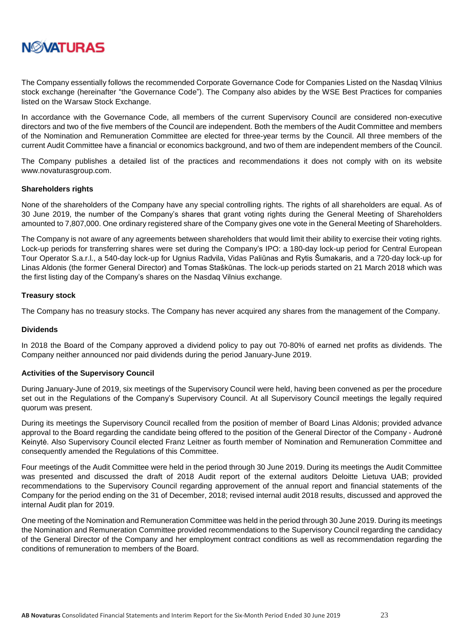

The Company essentially follows the recommended Corporate Governance Code for Companies Listed on the Nasdaq Vilnius stock exchange (hereinafter "the Governance Code"). The Company also abides by the WSE Best Practices for companies listed on the Warsaw Stock Exchange.

In accordance with the Governance Code, all members of the current Supervisory Council are considered non-executive directors and two of the five members of the Council are independent. Both the members of the Audit Committee and members of the Nomination and Remuneration Committee are elected for three-year terms by the Council. All three members of the current Audit Committee have a financial or economics background, and two of them are independent members of the Council.

The Company publishes a detailed list of the practices and recommendations it does not comply with on its website www.novaturasgroup.com.

#### **Shareholders rights**

None of the shareholders of the Company have any special controlling rights. The rights of all shareholders are equal. As of 30 June 2019, the number of the Company's shares that grant voting rights during the General Meeting of Shareholders amounted to 7,807,000. One ordinary registered share of the Company gives one vote in the General Meeting of Shareholders.

The Company is not aware of any agreements between shareholders that would limit their ability to exercise their voting rights. Lock-up periods for transferring shares were set during the Company's IPO: a 180-day lock-up period for Central European Tour Operator S.a.r.l., a 540-day lock-up for Ugnius Radvila, Vidas Paliūnas and Rytis Šumakaris, and a 720-day lock-up for Linas Aldonis (the former General Director) and Tomas Staškūnas. The lock-up periods started on 21 March 2018 which was the first listing day of the Company's shares on the Nasdaq Vilnius exchange.

#### **Treasury stock**

The Company has no treasury stocks. The Company has never acquired any shares from the management of the Company.

#### **Dividends**

In 2018 the Board of the Company approved a dividend policy to pay out 70-80% of earned net profits as dividends. The Company neither announced nor paid dividends during the period January-June 2019.

#### **Activities of the Supervisory Council**

During January-June of 2019, six meetings of the Supervisory Council were held, having been convened as per the procedure set out in the Regulations of the Company's Supervisory Council. At all Supervisory Council meetings the legally required quorum was present.

During its meetings the Supervisory Council recalled from the position of member of Board Linas Aldonis; provided advance approval to the Board regarding the candidate being offered to the position of the General Director of the Company - Audronė Keinytė. Also Supervisory Council elected Franz Leitner as fourth member of Nomination and Remuneration Committee and consequently amended the Regulations of this Committee.

Four meetings of the Audit Committee were held in the period through 30 June 2019. During its meetings the Audit Committee was presented and discussed the draft of 2018 Audit report of the external auditors Deloitte Lietuva UAB; provided recommendations to the Supervisory Council regarding approvement of the annual report and financial statements of the Company for the period ending on the 31 of December, 2018; revised internal audit 2018 results, discussed and approved the internal Audit plan for 2019.

One meeting of the Nomination and Remuneration Committee was held in the period through 30 June 2019. During its meetings the Nomination and Remuneration Committee provided recommendations to the Supervisory Council regarding the candidacy of the General Director of the Company and her employment contract conditions as well as recommendation regarding the conditions of remuneration to members of the Board.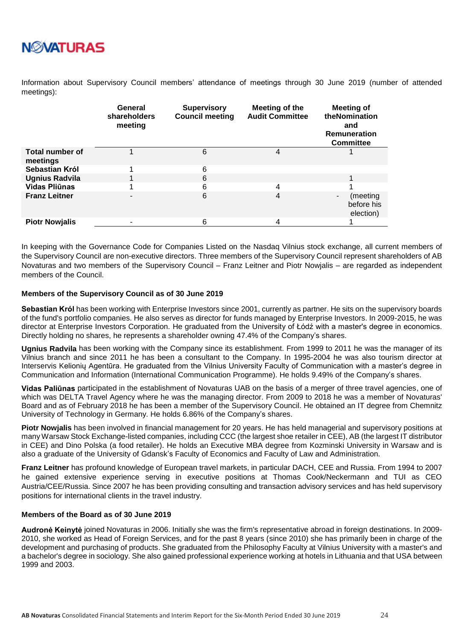

Information about Supervisory Council members' attendance of meetings through 30 June 2019 (number of attended meetings):

|                             | General<br>shareholders<br>meeting | <b>Supervisory</b><br><b>Council meeting</b> | Meeting of the<br><b>Audit Committee</b> | <b>Meeting of</b><br>theNomination<br>and<br><b>Remuneration</b><br><b>Committee</b> |
|-----------------------------|------------------------------------|----------------------------------------------|------------------------------------------|--------------------------------------------------------------------------------------|
| Total number of<br>meetings |                                    | 6                                            | 4                                        |                                                                                      |
| Sebastian Król              |                                    | 6                                            |                                          |                                                                                      |
| <b>Ugnius Radvila</b>       |                                    | 6                                            |                                          |                                                                                      |
| Vidas Pliūnas               |                                    | 6                                            | 4                                        |                                                                                      |
| <b>Franz Leitner</b>        |                                    | 6                                            | 4                                        | (meeting<br>$\overline{\phantom{0}}$<br>before his<br>election)                      |
| <b>Piotr Nowjalis</b>       |                                    | 6                                            | 4                                        |                                                                                      |

In keeping with the Governance Code for Companies Listed on the Nasdaq Vilnius stock exchange, all current members of the Supervisory Council are non-executive directors. Three members of the Supervisory Council represent shareholders of AB Novaturas and two members of the Supervisory Council – Franz Leitner and Piotr Nowjalis – are regarded as independent members of the Council.

#### **Members of the Supervisory Council as of 30 June 2019**

**Sebastian Król** has been working with Enterprise Investors since 2001, currently as partner. He sits on the supervisory boards of the fund's portfolio companies. He also serves as director for funds managed by Enterprise Investors. In 2009-2015, he was director at Enterprise Investors Corporation. He graduated from the University of Łódź with a master's degree in economics. Directly holding no shares, he represents a shareholder owning 47.4% of the Company's shares.

**Ugnius Radvila** has been working with the Company since its establishment. From 1999 to 2011 he was the manager of its Vilnius branch and since 2011 he has been a consultant to the Company. In 1995-2004 he was also tourism director at Interservis Kelionių Agentūra. He graduated from the Vilnius University Faculty of Communication with a master's degree in Communication and Information (International Communication Programme). He holds 9.49% of the Company's shares.

**Vidas Paliūnas** participated in the establishment of Novaturas UAB on the basis of a merger of three travel agencies, one of which was DELTA Travel Agency where he was the managing director. From 2009 to 2018 he was a member of Novaturas' Board and as of February 2018 he has been a member of the Supervisory Council. He obtained an IT degree from Chemnitz University of Technology in Germany. He holds 6.86% of the Company's shares.

**Piotr Nowjalis** has been involved in financial management for 20 years. He has held managerial and supervisory positions at many Warsaw Stock Exchange-listed companies, including CCC (the largest shoe retailer in CEE), AB (the largest IT distributor in CEE) and Dino Polska (a food retailer). He holds an Executive MBA degree from Kozminski University in Warsaw and is also a graduate of the University of Gdansk's Faculty of Economics and Faculty of Law and Administration.

**Franz Leitner** has profound knowledge of European travel markets, in particular DACH, CEE and Russia. From 1994 to 2007 he gained extensive experience serving in executive positions at Thomas Cook/Neckermann and TUI as CEO Austria/CEE/Russia. Since 2007 he has been providing consulting and transaction advisory services and has held supervisory positions for international clients in the travel industry.

#### **Members of the Board as of 30 June 2019**

**Audronė Keinytė** joined Novaturas in 2006. Initially she was the firm's representative abroad in foreign destinations. In 2009- 2010, she worked as Head of Foreign Services, and for the past 8 years (since 2010) she has primarily been in charge of the development and purchasing of products. She graduated from the Philosophy Faculty at Vilnius University with a master's and a bachelor's degree in sociology. She also gained professional experience working at hotels in Lithuania and that USA between 1999 and 2003.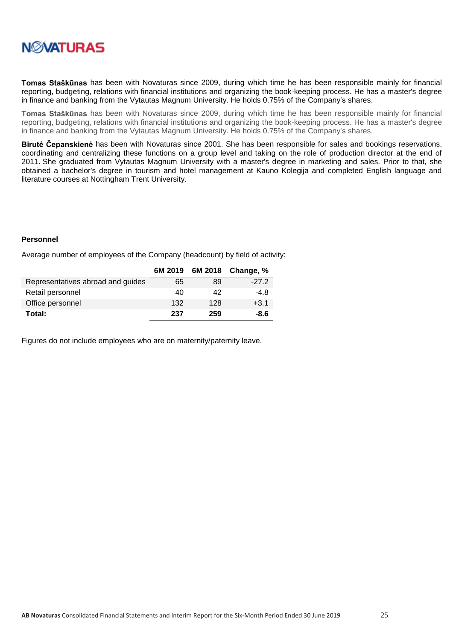

**Tomas Staškūnas** has been with Novaturas since 2009, during which time he has been responsible mainly for financial reporting, budgeting, relations with financial institutions and organizing the book-keeping process. He has a master's degree in finance and banking from the Vytautas Magnum University. He holds 0.75% of the Company's shares.

**Tomas Staškūnas** has been with Novaturas since 2009, during which time he has been responsible mainly for financial reporting, budgeting, relations with financial institutions and organizing the book-keeping process. He has a master's degree in finance and banking from the Vytautas Magnum University. He holds 0.75% of the Company's shares.

**Birutė Čepanskienė** has been with Novaturas since 2001. She has been responsible for sales and bookings reservations, coordinating and centralizing these functions on a group level and taking on the role of production director at the end of 2011. She graduated from Vytautas Magnum University with a master's degree in marketing and sales. Prior to that, she obtained a bachelor's degree in tourism and hotel management at Kauno Kolegija and completed English language and literature courses at Nottingham Trent University.

#### **Personnel**

Average number of employees of the Company (headcount) by field of activity:

|                                   | 6M 2019 |     | 6M 2018 Change, % |
|-----------------------------------|---------|-----|-------------------|
| Representatives abroad and guides | 65      | 89  | $-27.2$           |
| Retail personnel                  | 40      | 42  | $-4.8$            |
| Office personnel                  | 132     | 128 | $+3.1$            |
| Total:                            | 237     | 259 | $-8.6$            |

Figures do not include employees who are on maternity/paternity leave.